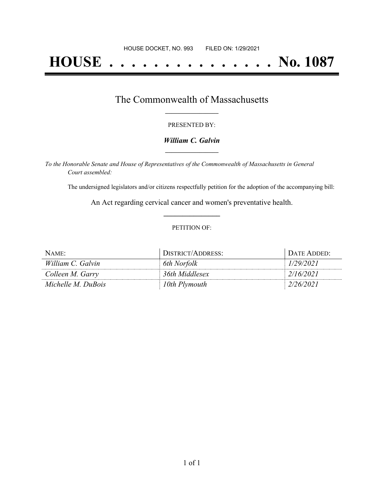# **HOUSE . . . . . . . . . . . . . . . No. 1087**

# The Commonwealth of Massachusetts **\_\_\_\_\_\_\_\_\_\_\_\_\_\_\_\_\_**

#### PRESENTED BY:

#### *William C. Galvin* **\_\_\_\_\_\_\_\_\_\_\_\_\_\_\_\_\_**

*To the Honorable Senate and House of Representatives of the Commonwealth of Massachusetts in General Court assembled:*

The undersigned legislators and/or citizens respectfully petition for the adoption of the accompanying bill:

An Act regarding cervical cancer and women's preventative health. **\_\_\_\_\_\_\_\_\_\_\_\_\_\_\_**

#### PETITION OF:

| NAME:              | DISTRICT/ADDRESS: | DATE ADDED: |
|--------------------|-------------------|-------------|
| William C. Galvin  | 6th Norfolk       | 1/29/2021   |
| Colleen M. Garry   | 36th Middlesex    | 2/16/2021   |
| Michelle M. DuBois | 10th Plymouth     | 2/26/2021   |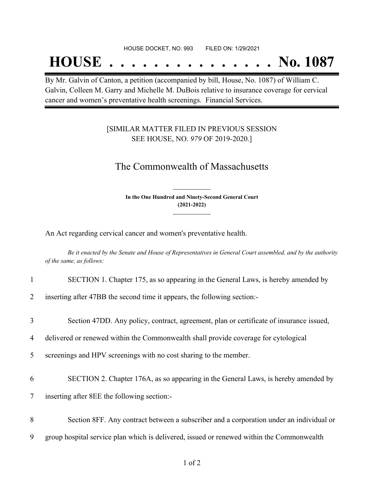#### HOUSE DOCKET, NO. 993 FILED ON: 1/29/2021

# **HOUSE . . . . . . . . . . . . . . . No. 1087**

By Mr. Galvin of Canton, a petition (accompanied by bill, House, No. 1087) of William C. Galvin, Colleen M. Garry and Michelle M. DuBois relative to insurance coverage for cervical cancer and women's preventative health screenings. Financial Services.

### [SIMILAR MATTER FILED IN PREVIOUS SESSION SEE HOUSE, NO. *979* OF 2019-2020.]

## The Commonwealth of Massachusetts

**In the One Hundred and Ninety-Second General Court (2021-2022) \_\_\_\_\_\_\_\_\_\_\_\_\_\_\_**

**\_\_\_\_\_\_\_\_\_\_\_\_\_\_\_**

An Act regarding cervical cancer and women's preventative health.

Be it enacted by the Senate and House of Representatives in General Court assembled, and by the authority *of the same, as follows:*

|  | SECTION 1. Chapter 175, as so appearing in the General Laws, is hereby amended by |  |  |  |
|--|-----------------------------------------------------------------------------------|--|--|--|
|  |                                                                                   |  |  |  |

2 inserting after 47BB the second time it appears, the following section:-

3 Section 47DD. Any policy, contract, agreement, plan or certificate of insurance issued,

4 delivered or renewed within the Commonwealth shall provide coverage for cytological

5 screenings and HPV screenings with no cost sharing to the member.

6 SECTION 2. Chapter 176A, as so appearing in the General Laws, is hereby amended by

7 inserting after 8EE the following section:-

- 8 Section 8FF. Any contract between a subscriber and a corporation under an individual or
- 9 group hospital service plan which is delivered, issued or renewed within the Commonwealth